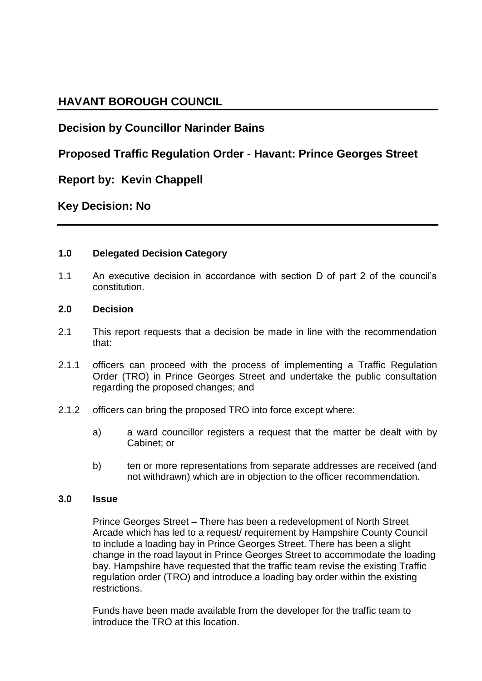# **HAVANT BOROUGH COUNCIL**

# **Decision by Councillor Narinder Bains**

## **Proposed Traffic Regulation Order - Havant: Prince Georges Street**

## **Report by: Kevin Chappell**

## **Key Decision: No**

### **1.0 Delegated Decision Category**

1.1 An executive decision in accordance with section D of part 2 of the council's constitution.

#### **2.0 Decision**

- 2.1 This report requests that a decision be made in line with the recommendation that:
- 2.1.1 officers can proceed with the process of implementing a Traffic Regulation Order (TRO) in Prince Georges Street and undertake the public consultation regarding the proposed changes; and
- 2.1.2 officers can bring the proposed TRO into force except where:
	- a) a ward councillor registers a request that the matter be dealt with by Cabinet; or
	- b) ten or more representations from separate addresses are received (and not withdrawn) which are in objection to the officer recommendation.

#### **3.0 Issue**

Prince Georges Street **–** There has been a redevelopment of North Street Arcade which has led to a request/ requirement by Hampshire County Council to include a loading bay in Prince Georges Street. There has been a slight change in the road layout in Prince Georges Street to accommodate the loading bay. Hampshire have requested that the traffic team revise the existing Traffic regulation order (TRO) and introduce a loading bay order within the existing restrictions.

Funds have been made available from the developer for the traffic team to introduce the TRO at this location.